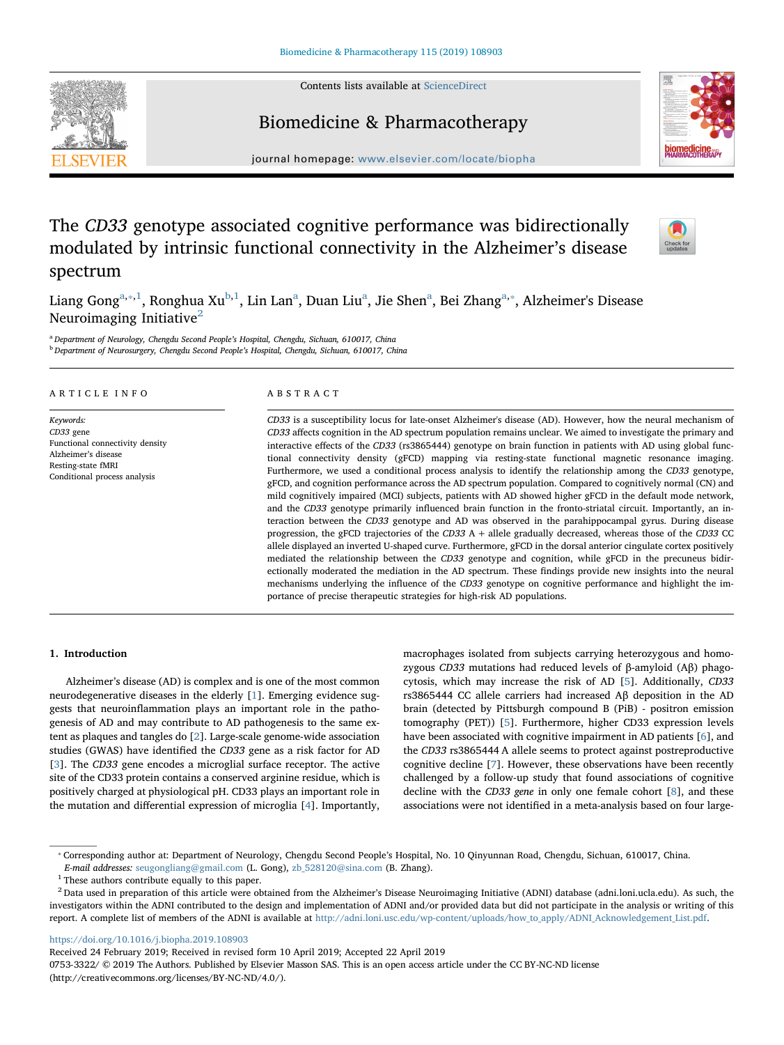Contents lists available at [ScienceDirect](http://www.sciencedirect.com/science/journal/07533322)



# Biomedicine & Pharmacotherapy



journal homepage: [www.elsevier.com/locate/biopha](https://www.elsevier.com/locate/biopha)

## The CD33 genotype associated cognitive performance was bidirectionally modulated by intrinsic functional connectivity in the Alzheimer's disease spectrum



Liang Gong<sup>[a,](#page-0-0)</sup>\*<sup>[,1](#page-0-2)</sup>, Ronghua Xu<sup>[b](#page-0-3),[1](#page-0-2)</sup>, Lin L[a](#page-0-0)n<sup>a</sup>, Duan Liu<sup>a</sup>, Jie Shen<sup>a</sup>, Bei Zhang<sup>a,\*</sup>, Alzheimer's Disease Neuroimaging Initiative $2$ 

<span id="page-0-3"></span><span id="page-0-0"></span><sup>a</sup> Department of Neurology, Chengdu Second People's Hospital, Chengdu, Sichuan, 610017, China <sup>b</sup> Department of Neurosurgery, Chengdu Second People's Hospital, Chengdu, Sichuan, 610017, China

| A R T I C L E I N F O |
|-----------------------|
|-----------------------|

Keywords: CD33 gene Functional connectivity density Alzheimer's disease Resting-state fMRI Conditional process analysis

## ABSTRACT

CD33 is a susceptibility locus for late-onset Alzheimer's disease (AD). However, how the neural mechanism of CD33 affects cognition in the AD spectrum population remains unclear. We aimed to investigate the primary and interactive effects of the CD33 (rs3865444) genotype on brain function in patients with AD using global functional connectivity density (gFCD) mapping via resting-state functional magnetic resonance imaging. Furthermore, we used a conditional process analysis to identify the relationship among the CD33 genotype, gFCD, and cognition performance across the AD spectrum population. Compared to cognitively normal (CN) and mild cognitively impaired (MCI) subjects, patients with AD showed higher gFCD in the default mode network, and the CD33 genotype primarily influenced brain function in the fronto-striatal circuit. Importantly, an interaction between the CD33 genotype and AD was observed in the parahippocampal gyrus. During disease progression, the gFCD trajectories of the CD33 A + allele gradually decreased, whereas those of the CD33 CC allele displayed an inverted U-shaped curve. Furthermore, gFCD in the dorsal anterior cingulate cortex positively mediated the relationship between the CD33 genotype and cognition, while gFCD in the precuneus bidirectionally moderated the mediation in the AD spectrum. These findings provide new insights into the neural mechanisms underlying the influence of the CD33 genotype on cognitive performance and highlight the importance of precise therapeutic strategies for high-risk AD populations.

## 1. Introduction

Alzheimer's disease (AD) is complex and is one of the most common neurodegenerative diseases in the elderly [\[1\]](#page-6-0). Emerging evidence suggests that neuroinflammation plays an important role in the pathogenesis of AD and may contribute to AD pathogenesis to the same extent as plaques and tangles do [\[2\]](#page-6-1). Large-scale genome-wide association studies (GWAS) have identified the CD33 gene as a risk factor for AD [[3](#page-6-2)]. The CD33 gene encodes a microglial surface receptor. The active site of the CD33 protein contains a conserved arginine residue, which is positively charged at physiological pH. CD33 plays an important role in the mutation and differential expression of microglia [[4](#page-6-3)]. Importantly,

macrophages isolated from subjects carrying heterozygous and homozygous CD33 mutations had reduced levels of β-amyloid (Aβ) phagocytosis, which may increase the risk of AD [[5](#page-6-4)]. Additionally, CD33 rs3865444 CC allele carriers had increased Aβ deposition in the AD brain (detected by Pittsburgh compound B (PiB) - positron emission tomography (PET)) [\[5\]](#page-6-4). Furthermore, higher CD33 expression levels have been associated with cognitive impairment in AD patients [[6\]](#page-6-5), and the CD33 rs3865444 A allele seems to protect against postreproductive cognitive decline [\[7\]](#page-6-6). However, these observations have been recently challenged by a follow-up study that found associations of cognitive decline with the CD33 gene in only one female cohort [[8](#page-6-7)], and these associations were not identified in a meta-analysis based on four large-

<https://doi.org/10.1016/j.biopha.2019.108903>

Received 24 February 2019; Received in revised form 10 April 2019; Accepted 22 April 2019

0753-3322/ © 2019 The Authors. Published by Elsevier Masson SAS. This is an open access article under the CC BY-NC-ND license (http://creativecommons.org/licenses/BY-NC-ND/4.0/).

<span id="page-0-1"></span><sup>⁎</sup> Corresponding author at: Department of Neurology, Chengdu Second People's Hospital, No. 10 Qinyunnan Road, Chengdu, Sichuan, 610017, China.

E-mail addresses: [seugongliang@gmail.com](mailto:seugongliang@gmail.com) (L. Gong), [zb\\_528120@sina.com](mailto:zb_528120@sina.com) (B. Zhang).

<span id="page-0-2"></span><sup>&</sup>lt;sup>1</sup> These authors contribute equally to this paper.

<span id="page-0-4"></span> $^2$  Data used in preparation of this article were obtained from the Alzheimer's Disease Neuroimaging Initiative (ADNI) database (adni.loni.ucla.edu). As such, the investigators within the ADNI contributed to the design and implementation of ADNI and/or provided data but did not participate in the analysis or writing of this report. A complete list of members of the ADNI is available at [http://adni.loni.usc.edu/wp-content/uploads/how\\_to\\_apply/ADNI\\_Acknowledgement\\_List.pdf](http://adni.loni.usc.edu/wp-content/uploads/how_to_apply/ADNI_Acknowledgement_List.pdf).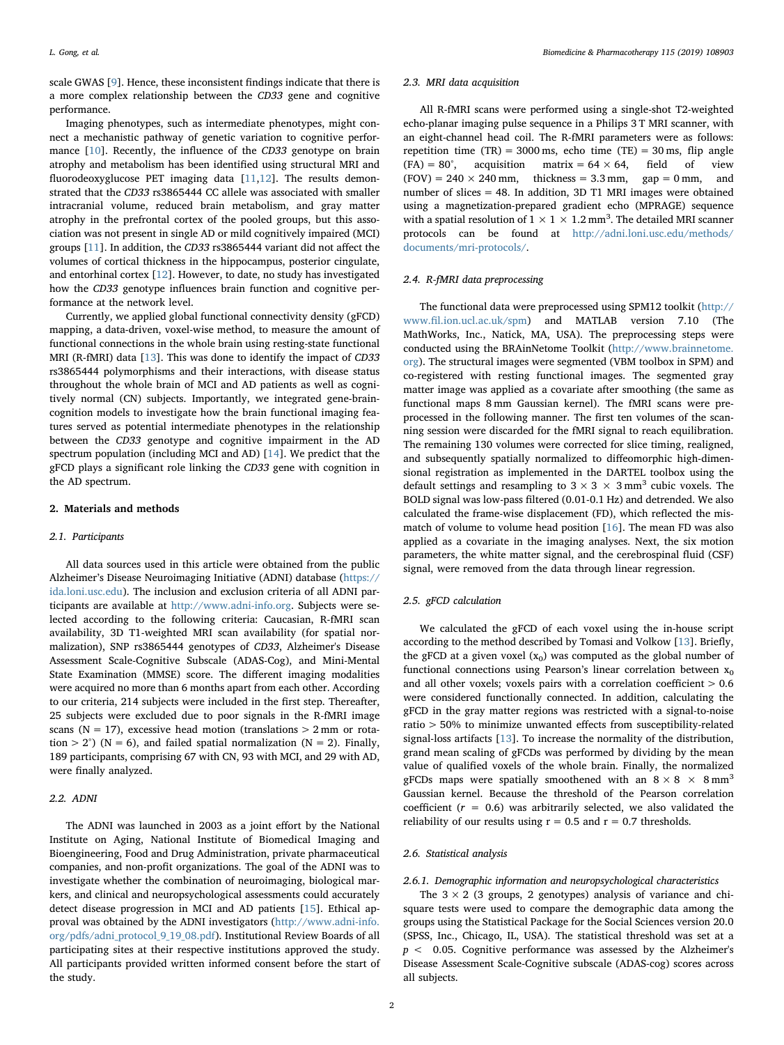scale GWAS [\[9\]](#page-6-8). Hence, these inconsistent findings indicate that there is a more complex relationship between the CD33 gene and cognitive performance.

Imaging phenotypes, such as intermediate phenotypes, might connect a mechanistic pathway of genetic variation to cognitive performance [[10\]](#page-6-9). Recently, the influence of the CD33 genotype on brain atrophy and metabolism has been identified using structural MRI and fluorodeoxyglucose PET imaging data [\[11](#page-6-10)[,12](#page-6-11)]. The results demonstrated that the CD33 rs3865444 CC allele was associated with smaller intracranial volume, reduced brain metabolism, and gray matter atrophy in the prefrontal cortex of the pooled groups, but this association was not present in single AD or mild cognitively impaired (MCI) groups [[11\]](#page-6-10). In addition, the CD33 rs3865444 variant did not affect the volumes of cortical thickness in the hippocampus, posterior cingulate, and entorhinal cortex [[12\]](#page-6-11). However, to date, no study has investigated how the CD33 genotype influences brain function and cognitive performance at the network level.

Currently, we applied global functional connectivity density (gFCD) mapping, a data-driven, voxel-wise method, to measure the amount of functional connections in the whole brain using resting-state functional MRI (R-fMRI) data [[13\]](#page-6-12). This was done to identify the impact of CD33 rs3865444 polymorphisms and their interactions, with disease status throughout the whole brain of MCI and AD patients as well as cognitively normal (CN) subjects. Importantly, we integrated gene-braincognition models to investigate how the brain functional imaging features served as potential intermediate phenotypes in the relationship between the CD33 genotype and cognitive impairment in the AD spectrum population (including MCI and AD) [\[14](#page-6-13)]. We predict that the gFCD plays a significant role linking the CD33 gene with cognition in the AD spectrum.

## 2. Materials and methods

## 2.1. Participants

All data sources used in this article were obtained from the public Alzheimer's Disease Neuroimaging Initiative (ADNI) database ([https://](https://ida.loni.usc.edu) [ida.loni.usc.edu](https://ida.loni.usc.edu)). The inclusion and exclusion criteria of all ADNI participants are available at <http://www.adni-info.org>. Subjects were selected according to the following criteria: Caucasian, R-fMRI scan availability, 3D T1-weighted MRI scan availability (for spatial normalization), SNP rs3865444 genotypes of CD33, Alzheimer's Disease Assessment Scale-Cognitive Subscale (ADAS-Cog), and Mini-Mental State Examination (MMSE) score. The different imaging modalities were acquired no more than 6 months apart from each other. According to our criteria, 214 subjects were included in the first step. Thereafter, 25 subjects were excluded due to poor signals in the R-fMRI image scans ( $N = 17$ ), excessive head motion (translations  $> 2$  mm or rotation > 2°) (N = 6), and failed spatial normalization (N = 2). Finally, 189 participants, comprising 67 with CN, 93 with MCI, and 29 with AD, were finally analyzed.

## 2.2. ADNI

The ADNI was launched in 2003 as a joint effort by the National Institute on Aging, National Institute of Biomedical Imaging and Bioengineering, Food and Drug Administration, private pharmaceutical companies, and non-profit organizations. The goal of the ADNI was to investigate whether the combination of neuroimaging, biological markers, and clinical and neuropsychological assessments could accurately detect disease progression in MCI and AD patients [\[15](#page-6-14)]. Ethical approval was obtained by the ADNI investigators [\(http://www.adni-info.](http://www.adni-info.org/pdfs/) [org/pdfs/](http://www.adni-info.org/pdfs/)[adni\\_protocol\\_9\\_19\\_08.pdf\)](http://adni_protocol_9_19_08.pdf). Institutional Review Boards of all participating sites at their respective institutions approved the study. All participants provided written informed consent before the start of the study.

#### 2.3. MRI data acquisition

All R-fMRI scans were performed using a single-shot T2-weighted echo-planar imaging pulse sequence in a Philips 3 T MRI scanner, with an eight-channel head coil. The R-fMRI parameters were as follows: repetition time  $(TR) = 3000$  ms, echo time  $(TE) = 30$  ms, flip angle  $(FA) = 80^\circ$ , acquisition matrix = 64 × 64, field of view  $(FOV) = 240 \times 240$  mm, thickness = 3.3 mm, gap = 0 mm, and number of slices = 48. In addition, 3D T1 MRI images were obtained using a magnetization-prepared gradient echo (MPRAGE) sequence with a spatial resolution of  $1 \times 1 \times 1.2$  mm<sup>3</sup>. The detailed MRI scanner protocols can be found at [http://adni.loni.usc.edu/methods/](http://adni.loni.usc.edu/methods/documents/mri-protocols/) [documents/mri-protocols/.](http://adni.loni.usc.edu/methods/documents/mri-protocols/)

## 2.4. R-fMRI data preprocessing

The functional data were preprocessed using SPM12 toolkit [\(http://](http://www.fil.ion.ucl.ac.uk/spm) www.fi[l.ion.ucl.ac.uk/spm\)](http://www.fil.ion.ucl.ac.uk/spm) and MATLAB version 7.10 (The MathWorks, Inc., Natick, MA, USA). The preprocessing steps were conducted using the BRAinNetome Toolkit [\(http://www.brainnetome.](http://www.brainnetome.org) [org](http://www.brainnetome.org)). The structural images were segmented (VBM toolbox in SPM) and co-registered with resting functional images. The segmented gray matter image was applied as a covariate after smoothing (the same as functional maps 8 mm Gaussian kernel). The fMRI scans were preprocessed in the following manner. The first ten volumes of the scanning session were discarded for the fMRI signal to reach equilibration. The remaining 130 volumes were corrected for slice timing, realigned, and subsequently spatially normalized to diffeomorphic high-dimensional registration as implemented in the DARTEL toolbox using the default settings and resampling to  $3 \times 3 \times 3$  mm<sup>3</sup> cubic voxels. The BOLD signal was low-pass filtered (0.01-0.1 Hz) and detrended. We also calculated the frame-wise displacement (FD), which reflected the mismatch of volume to volume head position [[16\]](#page-6-15). The mean FD was also applied as a covariate in the imaging analyses. Next, the six motion parameters, the white matter signal, and the cerebrospinal fluid (CSF) signal, were removed from the data through linear regression.

## 2.5. gFCD calculation

We calculated the gFCD of each voxel using the in-house script according to the method described by Tomasi and Volkow [\[13](#page-6-12)]. Briefly, the gFCD at a given voxel  $(x_0)$  was computed as the global number of functional connections using Pearson's linear correlation between  $x_0$ and all other voxels; voxels pairs with a correlation coefficient  $> 0.6$ were considered functionally connected. In addition, calculating the gFCD in the gray matter regions was restricted with a signal-to-noise ratio > 50% to minimize unwanted effects from susceptibility-related signal-loss artifacts [[13\]](#page-6-12). To increase the normality of the distribution, grand mean scaling of gFCDs was performed by dividing by the mean value of qualified voxels of the whole brain. Finally, the normalized gFCDs maps were spatially smoothened with an  $8 \times 8 \times 8$  mm<sup>3</sup> Gaussian kernel. Because the threshold of the Pearson correlation coefficient ( $r = 0.6$ ) was arbitrarily selected, we also validated the reliability of our results using  $r = 0.5$  and  $r = 0.7$  thresholds.

## 2.6. Statistical analysis

2.6.1. Demographic information and neuropsychological characteristics

The  $3 \times 2$  (3 groups, 2 genotypes) analysis of variance and chisquare tests were used to compare the demographic data among the groups using the Statistical Package for the Social Sciences version 20.0 (SPSS, Inc., Chicago, IL, USA). The statistical threshold was set at a  $p < 0.05$ . Cognitive performance was assessed by the Alzheimer's Disease Assessment Scale-Cognitive subscale (ADAS-cog) scores across all subjects.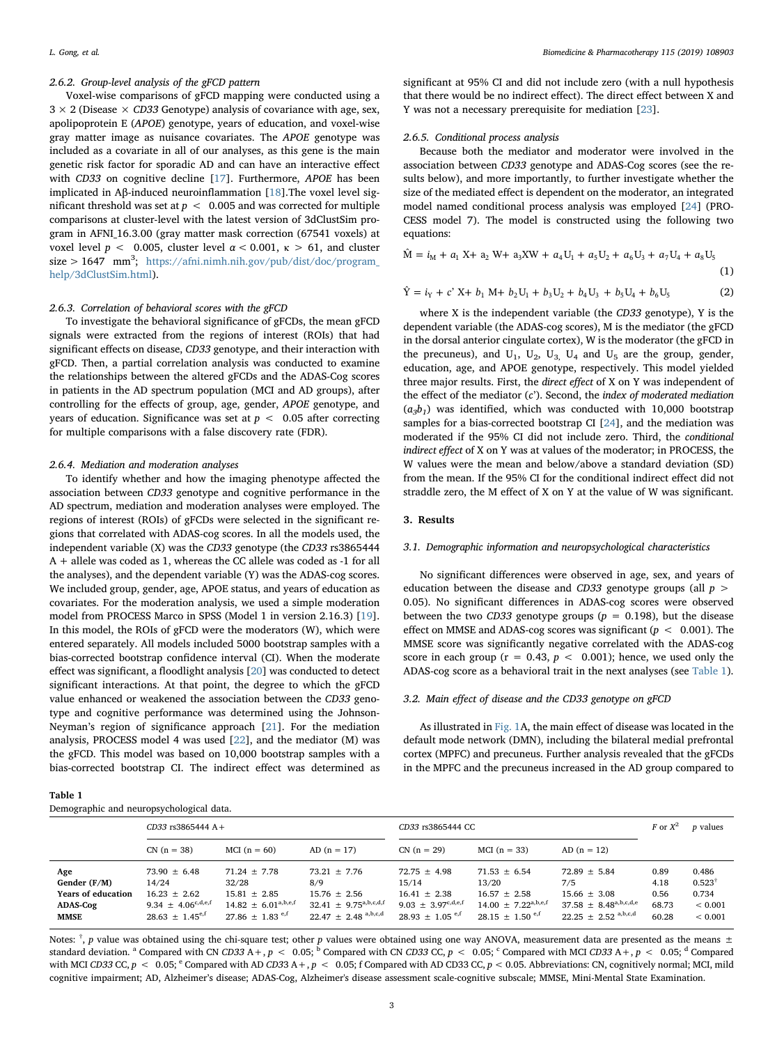#### 2.6.2. Group-level analysis of the gFCD pattern

Voxel-wise comparisons of gFCD mapping were conducted using a  $3 \times 2$  (Disease  $\times$  CD33 Genotype) analysis of covariance with age, sex, apolipoprotein E (APOE) genotype, years of education, and voxel-wise gray matter image as nuisance covariates. The APOE genotype was included as a covariate in all of our analyses, as this gene is the main genetic risk factor for sporadic AD and can have an interactive effect with CD33 on cognitive decline [[17\]](#page-6-16). Furthermore, APOE has been implicated in Aβ-induced neuroinflammation [[18\]](#page-6-17).The voxel level significant threshold was set at  $p < 0.005$  and was corrected for multiple comparisons at cluster-level with the latest version of 3dClustSim program in AFNI\_16.3.00 (gray matter mask correction (67541 voxels) at voxel level  $p < 0.005$ , cluster level  $\alpha < 0.001$ ,  $\kappa > 61$ , and cluster  $size > 1647$  mm<sup>3</sup>; [https://afni.nimh.nih.gov/pub/dist/doc/program\\_](https://afni.nimh.nih.gov/pub/dist/doc/program_help/3dClustSim.html) [help/3dClustSim.html\)](https://afni.nimh.nih.gov/pub/dist/doc/program_help/3dClustSim.html).

## 2.6.3. Correlation of behavioral scores with the gFCD

To investigate the behavioral significance of gFCDs, the mean gFCD signals were extracted from the regions of interest (ROIs) that had significant effects on disease, CD33 genotype, and their interaction with gFCD. Then, a partial correlation analysis was conducted to examine the relationships between the altered gFCDs and the ADAS-Cog scores in patients in the AD spectrum population (MCI and AD groups), after controlling for the effects of group, age, gender, APOE genotype, and years of education. Significance was set at  $p < 0.05$  after correcting for multiple comparisons with a false discovery rate (FDR).

#### 2.6.4. Mediation and moderation analyses

To identify whether and how the imaging phenotype affected the association between CD33 genotype and cognitive performance in the AD spectrum, mediation and moderation analyses were employed. The regions of interest (ROIs) of gFCDs were selected in the significant regions that correlated with ADAS-cog scores. In all the models used, the independent variable (X) was the CD33 genotype (the CD33 rs3865444 A + allele was coded as 1, whereas the CC allele was coded as -1 for all the analyses), and the dependent variable (Y) was the ADAS-cog scores. We included group, gender, age, APOE status, and years of education as covariates. For the moderation analysis, we used a simple moderation model from PROCESS Marco in SPSS (Model 1 in version 2.16.3) [\[19](#page-6-18)]. In this model, the ROIs of gFCD were the moderators (W), which were entered separately. All models included 5000 bootstrap samples with a bias-corrected bootstrap confidence interval (CI). When the moderate effect was significant, a floodlight analysis [\[20](#page-6-19)] was conducted to detect significant interactions. At that point, the degree to which the gFCD value enhanced or weakened the association between the CD33 genotype and cognitive performance was determined using the Johnson-Neyman's region of significance approach [[21\]](#page-6-20). For the mediation analysis, PROCESS model 4 was used [[22\]](#page-6-21), and the mediator (M) was the gFCD. This model was based on 10,000 bootstrap samples with a bias-corrected bootstrap CI. The indirect effect was determined as

<span id="page-2-0"></span>

| Table 1 |                                   |
|---------|-----------------------------------|
|         | Demographic and neuropsychologica |

significant at 95% CI and did not include zero (with a null hypothesis that there would be no indirect effect). The direct effect between X and Y was not a necessary prerequisite for mediation [[23\]](#page-6-22).

#### 2.6.5. Conditional process analysis

Because both the mediator and moderator were involved in the association between CD33 genotype and ADAS-Cog scores (see the results below), and more importantly, to further investigate whether the size of the mediated effect is dependent on the moderator, an integrated model named conditional process analysis was employed [[24\]](#page-6-23) (PRO-CESS model 7). The model is constructed using the following two equations:

$$
\hat{M} = i_M + a_1 X + a_2 W + a_3 X W + a_4 U_1 + a_5 U_2 + a_6 U_3 + a_7 U_4 + a_8 U_5
$$

$$
- (1)
$$

$$
\hat{Y} = i_Y + c^{\prime} X + b_1 M + b_2 U_1 + b_3 U_2 + b_4 U_3 + b_5 U_4 + b_6 U_5
$$
\n(2)

where X is the independent variable (the CD33 genotype), Y is the dependent variable (the ADAS-cog scores), M is the mediator (the gFCD in the dorsal anterior cingulate cortex), W is the moderator (the gFCD in the precuneus), and  $U_1$ ,  $U_2$ ,  $U_3$ ,  $U_4$  and  $U_5$  are the group, gender, education, age, and APOE genotype, respectively. This model yielded three major results. First, the direct effect of X on Y was independent of the effect of the mediator  $(c')$ . Second, the index of moderated mediation  $(a_3b_1)$  was identified, which was conducted with 10,000 bootstrap samples for a bias-corrected bootstrap CI [[24\]](#page-6-23), and the mediation was moderated if the 95% CI did not include zero. Third, the conditional indirect effect of X on Y was at values of the moderator; in PROCESS, the W values were the mean and below/above a standard deviation (SD) from the mean. If the 95% CI for the conditional indirect effect did not straddle zero, the M effect of X on Y at the value of W was significant.

#### 3. Results

### 3.1. Demographic information and neuropsychological characteristics

No significant differences were observed in age, sex, and years of education between the disease and CD33 genotype groups (all  $p >$ 0.05). No significant differences in ADAS-cog scores were observed between the two CD33 genotype groups ( $p = 0.198$ ), but the disease effect on MMSE and ADAS-cog scores was significant ( $p < 0.001$ ). The MMSE score was significantly negative correlated with the ADAS-cog score in each group ( $r = 0.43$ ,  $p < 0.001$ ); hence, we used only the ADAS-cog score as a behavioral trait in the next analyses (see [Table 1](#page-2-0)).

#### 3.2. Main effect of disease and the CD33 genotype on gFCD

As illustrated in [Fig. 1A](#page-3-0), the main effect of disease was located in the default mode network (DMN), including the bilateral medial prefrontal cortex (MPFC) and precuneus. Further analysis revealed that the gFCDs in the MPFC and the precuneus increased in the AD group compared to

| Demographic and neuropsychological data.                                    |                                                                                                                        |                                                                                                                |                                                                                                         |                                                                                                           |                                                                                                              |                                                                                                                  |                                        |                                                                   |  |  |
|-----------------------------------------------------------------------------|------------------------------------------------------------------------------------------------------------------------|----------------------------------------------------------------------------------------------------------------|---------------------------------------------------------------------------------------------------------|-----------------------------------------------------------------------------------------------------------|--------------------------------------------------------------------------------------------------------------|------------------------------------------------------------------------------------------------------------------|----------------------------------------|-------------------------------------------------------------------|--|--|
|                                                                             | $CD33$ rs3865444 A +                                                                                                   |                                                                                                                |                                                                                                         | CD33 rs3865444 CC                                                                                         |                                                                                                              |                                                                                                                  | F or $X^2$                             | <i>p</i> values                                                   |  |  |
|                                                                             | $CN (n = 38)$                                                                                                          | MCI $(n = 60)$                                                                                                 | $AD(n = 17)$                                                                                            | $CN (n = 29)$                                                                                             | $MCI(n = 33)$                                                                                                | $AD(n = 12)$                                                                                                     |                                        |                                                                   |  |  |
| Age<br>Gender (F/M)<br><b>Years of education</b><br>ADAS-Cog<br><b>MMSE</b> | $73.90 \pm 6.48$<br>14/24<br>$16.23 \pm 2.62$<br>9.34 $\pm$ 4.06 <sup>c,d,e,f</sup><br>$28.63 \pm 1.45$ <sup>e,f</sup> | $71.24 \pm 7.78$<br>32/28<br>$15.81 \pm 2.85$<br>$14.82 \pm 6.01^{a,b,e,f}$<br>27.86 $\pm$ 1.83 <sup>e,f</sup> | $73.21 \pm 7.76$<br>8/9<br>$15.76 \pm 2.56$<br>$32.41 \pm 9.75^{a,b,c,d,f}$<br>$22.47 \pm 2.48$ a,b,c,d | $72.75 \pm 4.98$<br>15/14<br>$16.41 \pm 2.38$<br>$9.03 + 3.97^{c,d,e,f}$<br>$28.93 + 1.05$ <sup>e,f</sup> | $71.53 \pm 6.54$<br>13/20<br>$16.57 \pm 2.58$<br>$14.00 \pm 7.22^{a,b,e,f}$<br>$28.15 + 1.50$ <sup>e,f</sup> | $72.89 \pm 5.84$<br>7/5<br>$15.66 \pm 3.08$<br>$37.58 + 8.48^{a,b,c,d,e}$<br>$22.25 \pm 2.52$ <sup>a,b,c,d</sup> | 0.89<br>4.18<br>0.56<br>68.73<br>60.28 | 0.486<br>$0.523^{\dagger}$<br>0.734<br>${}< 0.001$<br>${}< 0.001$ |  |  |

Notes:  $^{\dagger}$ , p value was obtained using the chi-square test; other p values were obtained using one way ANOVA, measurement data are presented as the means  $\pm$ standard deviation. <sup>a</sup> Compared with CN CD33 A +, p < 0.05; <sup>b</sup> Compared with CN CD33 CC, p < 0.05; <sup>c</sup> Compared with MCI CD33 A +, p < 0.05; <sup>d</sup> Compared with MCI CD33 CC,  $p < 0.05$ ;  $^{\circ}$  Compared with AD CD33 A +,  $p < 0.05$ ; f Compared with AD CD33 CC,  $p < 0.05$ . Abbreviations: CN, cognitively normal; MCI, mild cognitive impairment; AD, Alzheimer's disease; ADAS-Cog, Alzheimer's disease assessment scale-cognitive subscale; MMSE, Mini-Mental State Examination.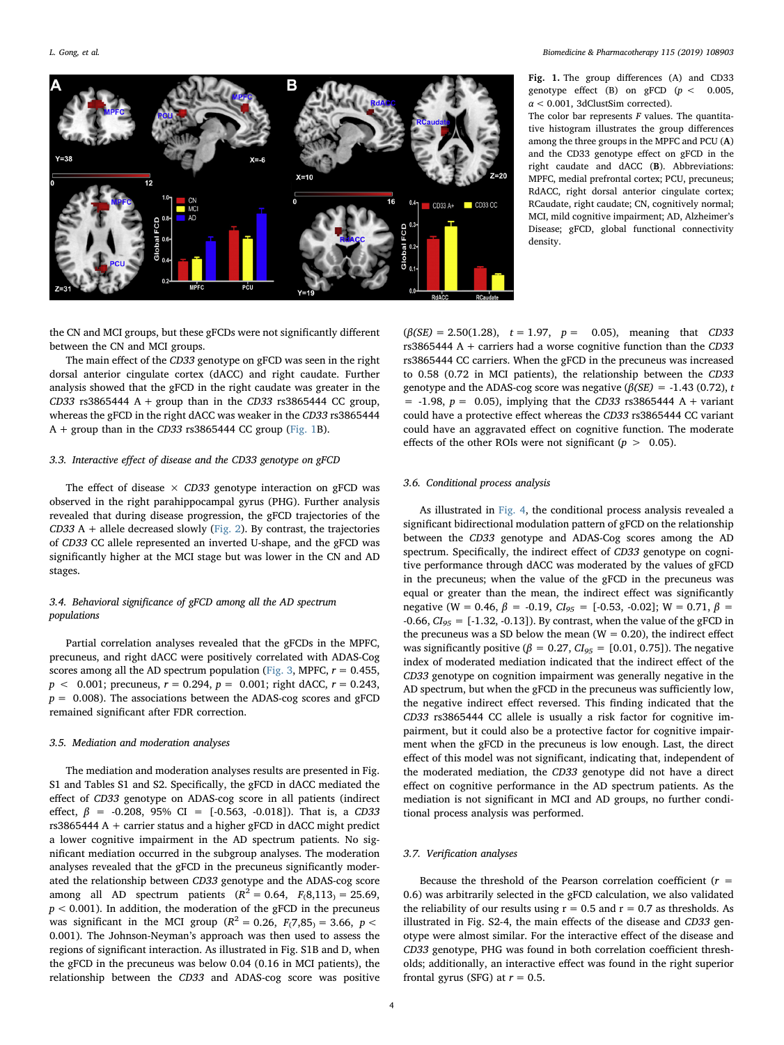<span id="page-3-0"></span>

Fig. 1. The group differences (A) and CD33 genotype effect (B) on gFCD  $(p < 0.005,$  $\alpha$  < 0.001, 3dClustSim corrected).

The color bar represents  $F$  values. The quantitative histogram illustrates the group differences among the three groups in the MPFC and PCU (A) and the CD33 genotype effect on gFCD in the right caudate and dACC (B). Abbreviations: MPFC, medial prefrontal cortex; PCU, precuneus; RdACC, right dorsal anterior cingulate cortex; RCaudate, right caudate; CN, cognitively normal; MCI, mild cognitive impairment; AD, Alzheimer's Disease; gFCD, global functional connectivity density.

the CN and MCI groups, but these gFCDs were not significantly different between the CN and MCI groups.

The main effect of the CD33 genotype on gFCD was seen in the right dorsal anterior cingulate cortex (dACC) and right caudate. Further analysis showed that the gFCD in the right caudate was greater in the CD33 rs3865444 A + group than in the CD33 rs3865444 CC group, whereas the gFCD in the right dACC was weaker in the CD33 rs3865444  $A +$  group than in the CD33 rs3865444 CC group ([Fig. 1B](#page-3-0)).

## 3.3. Interactive effect of disease and the CD33 genotype on gFCD

The effect of disease  $\times$  CD33 genotype interaction on gFCD was observed in the right parahippocampal gyrus (PHG). Further analysis revealed that during disease progression, the gFCD trajectories of the  $CD33$  A + allele decreased slowly ([Fig. 2](#page-4-0)). By contrast, the trajectories of CD33 CC allele represented an inverted U-shape, and the gFCD was significantly higher at the MCI stage but was lower in the CN and AD stages.

## 3.4. Behavioral significance of gFCD among all the AD spectrum populations

Partial correlation analyses revealed that the gFCDs in the MPFC, precuneus, and right dACC were positively correlated with ADAS-Cog scores among all the AD spectrum population ([Fig. 3](#page-4-1), MPFC,  $r = 0.455$ ,  $p < 0.001$ ; precuneus,  $r = 0.294$ ,  $p = 0.001$ ; right dACC,  $r = 0.243$ ,  $p = 0.008$ ). The associations between the ADAS-cog scores and gFCD remained significant after FDR correction.

## 3.5. Mediation and moderation analyses

The mediation and moderation analyses results are presented in Fig. S1 and Tables S1 and S2. Specifically, the gFCD in dACC mediated the effect of CD33 genotype on ADAS-cog score in all patients (indirect effect,  $\beta$  = -0.208, 95% CI = [-0.563, -0.018]). That is, a CD33  $rs3865444 A + carrier status and a higher gFCD in dACC might predict$ a lower cognitive impairment in the AD spectrum patients. No significant mediation occurred in the subgroup analyses. The moderation analyses revealed that the gFCD in the precuneus significantly moderated the relationship between CD33 genotype and the ADAS-cog score among all AD spectrum patients  $(R^2 = 0.64, F_1(8, 113) = 25.69,$  $p < 0.001$ ). In addition, the moderation of the gFCD in the precuneus was significant in the MCI group ( $R^2 = 0.26$ ,  $F_1(7,85) = 3.66$ ,  $p <$ 0.001). The Johnson-Neyman's approach was then used to assess the regions of significant interaction. As illustrated in Fig. S1B and D, when the gFCD in the precuneus was below 0.04 (0.16 in MCI patients), the relationship between the CD33 and ADAS-cog score was positive

 $(\beta(SE) = 2.50(1.28), t = 1.97, p = 0.05)$ , meaning that CD33 rs3865444 A + carriers had a worse cognitive function than the  $CD33$ rs3865444 CC carriers. When the gFCD in the precuneus was increased to 0.58 (0.72 in MCI patients), the relationship between the CD33 genotype and the ADAS-cog score was negative ( $\beta$ (SE) = -1.43 (0.72), t  $= -1.98$ ,  $p = 0.05$ ), implying that the CD33 rs3865444 A + variant could have a protective effect whereas the CD33 rs3865444 CC variant could have an aggravated effect on cognitive function. The moderate effects of the other ROIs were not significant ( $p > 0.05$ ).

#### 3.6. Conditional process analysis

As illustrated in [Fig. 4](#page-5-0), the conditional process analysis revealed a significant bidirectional modulation pattern of gFCD on the relationship between the CD33 genotype and ADAS-Cog scores among the AD spectrum. Specifically, the indirect effect of CD33 genotype on cognitive performance through dACC was moderated by the values of gFCD in the precuneus; when the value of the gFCD in the precuneus was equal or greater than the mean, the indirect effect was significantly negative (W = 0.46,  $\beta$  = -0.19,  $CI_{95}$  = [-0.53, -0.02]; W = 0.71,  $\beta$  = -0.66,  $CI_{95}$  = [-1.32, -0.13]). By contrast, when the value of the gFCD in the precuneus was a SD below the mean ( $W = 0.20$ ), the indirect effect was significantly positive ( $\beta = 0.27$ ,  $CI_{95} = [0.01, 0.75]$ ). The negative index of moderated mediation indicated that the indirect effect of the CD33 genotype on cognition impairment was generally negative in the AD spectrum, but when the gFCD in the precuneus was sufficiently low, the negative indirect effect reversed. This finding indicated that the CD33 rs3865444 CC allele is usually a risk factor for cognitive impairment, but it could also be a protective factor for cognitive impairment when the gFCD in the precuneus is low enough. Last, the direct effect of this model was not significant, indicating that, independent of the moderated mediation, the CD33 genotype did not have a direct effect on cognitive performance in the AD spectrum patients. As the mediation is not significant in MCI and AD groups, no further conditional process analysis was performed.

## 3.7. Verification analyses

Because the threshold of the Pearson correlation coefficient ( $r =$ 0.6) was arbitrarily selected in the gFCD calculation, we also validated the reliability of our results using  $r = 0.5$  and  $r = 0.7$  as thresholds. As illustrated in Fig. S2-4, the main effects of the disease and CD33 genotype were almost similar. For the interactive effect of the disease and CD33 genotype, PHG was found in both correlation coefficient thresholds; additionally, an interactive effect was found in the right superior frontal gyrus (SFG) at  $r = 0.5$ .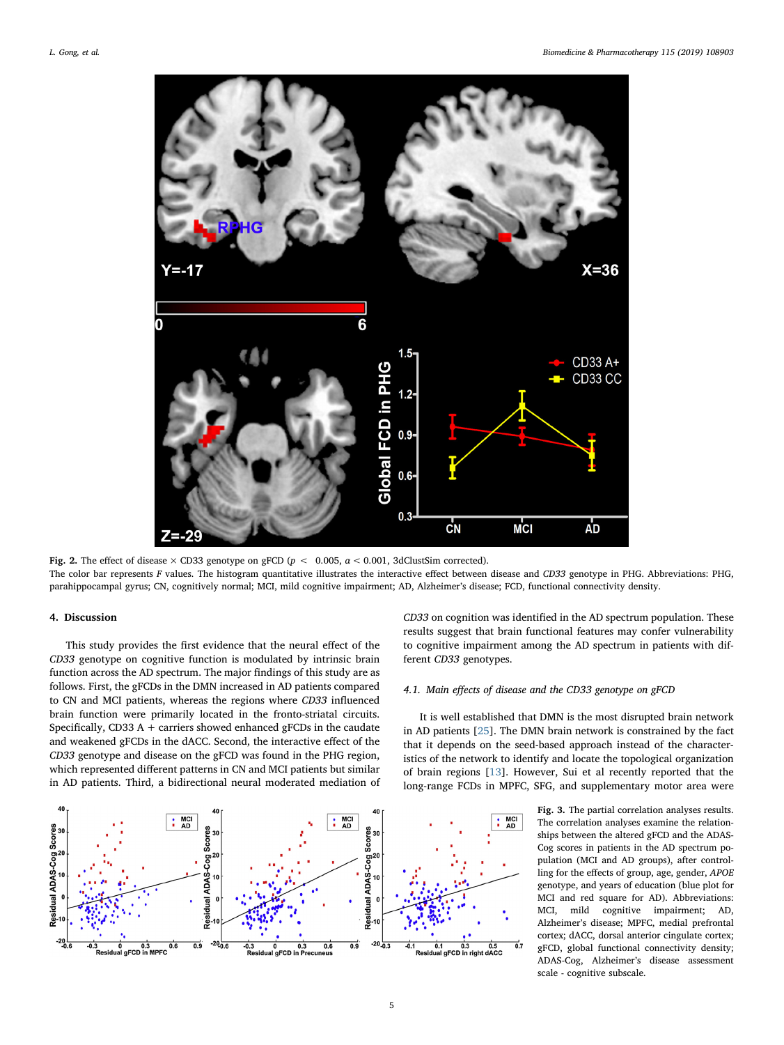<span id="page-4-0"></span>

Fig. 2. The effect of disease  $\times$  CD33 genotype on gFCD ( $p < 0.005$ ,  $\alpha < 0.001$ , 3dClustSim corrected). The color bar represents F values. The histogram quantitative illustrates the interactive effect between disease and CD33 genotype in PHG. Abbreviations: PHG, parahippocampal gyrus; CN, cognitively normal; MCI, mild cognitive impairment; AD, Alzheimer's disease; FCD, functional connectivity density.

#### 4. Discussion

This study provides the first evidence that the neural effect of the CD33 genotype on cognitive function is modulated by intrinsic brain function across the AD spectrum. The major findings of this study are as follows. First, the gFCDs in the DMN increased in AD patients compared to CN and MCI patients, whereas the regions where CD33 influenced brain function were primarily located in the fronto-striatal circuits. Specifically, CD33 A + carriers showed enhanced gFCDs in the caudate and weakened gFCDs in the dACC. Second, the interactive effect of the CD33 genotype and disease on the gFCD was found in the PHG region, which represented different patterns in CN and MCI patients but similar in AD patients. Third, a bidirectional neural moderated mediation of

<span id="page-4-1"></span>

CD33 on cognition was identified in the AD spectrum population. These results suggest that brain functional features may confer vulnerability to cognitive impairment among the AD spectrum in patients with different CD33 genotypes.

## 4.1. Main effects of disease and the CD33 genotype on gFCD

It is well established that DMN is the most disrupted brain network in AD patients [[25\]](#page-6-24). The DMN brain network is constrained by the fact that it depends on the seed-based approach instead of the characteristics of the network to identify and locate the topological organization of brain regions [\[13](#page-6-12)]. However, Sui et al recently reported that the long-range FCDs in MPFC, SFG, and supplementary motor area were

> Fig. 3. The partial correlation analyses results. The correlation analyses examine the relationships between the altered gFCD and the ADAS-Cog scores in patients in the AD spectrum population (MCI and AD groups), after controlling for the effects of group, age, gender, APOE genotype, and years of education (blue plot for MCI and red square for AD). Abbreviations: MCI, mild cognitive impairment; AD, Alzheimer's disease; MPFC, medial prefrontal cortex; dACC, dorsal anterior cingulate cortex; gFCD, global functional connectivity density; ADAS-Cog, Alzheimer's disease assessment scale - cognitive subscale.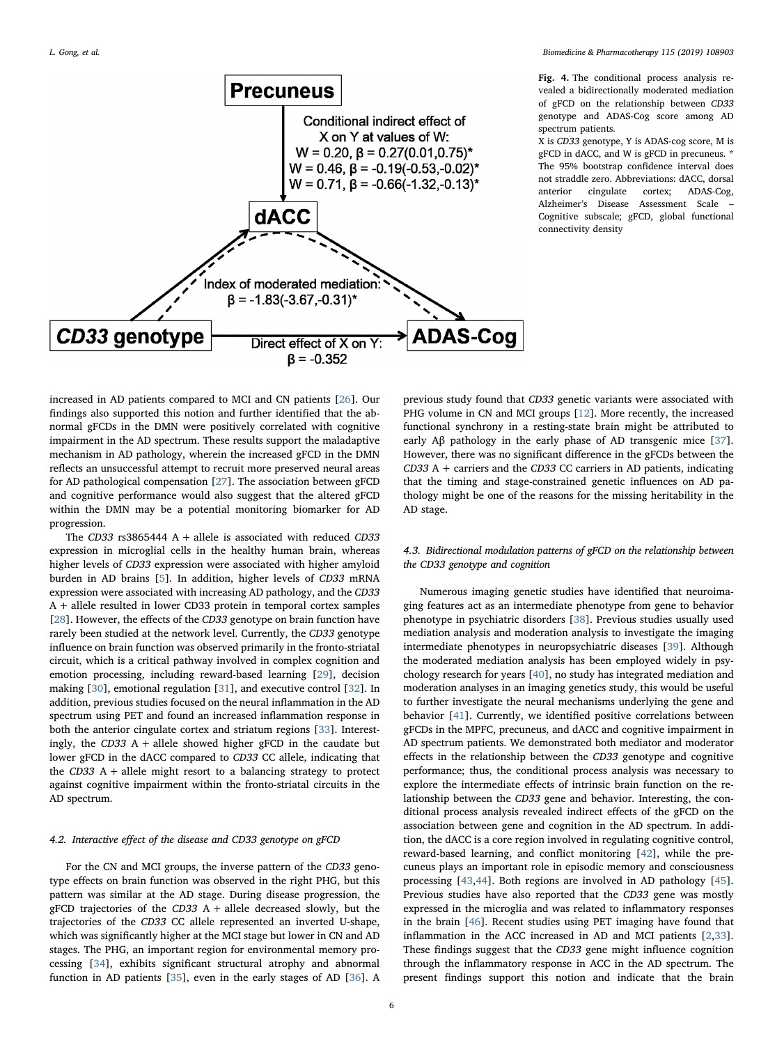<span id="page-5-0"></span>

Fig. 4. The conditional process analysis revealed a bidirectionally moderated mediation of gFCD on the relationship between CD33 genotype and ADAS-Cog score among AD spectrum patients.

X is CD33 genotype, Y is ADAS-cog score, M is gFCD in dACC, and W is gFCD in precuneus. \* The 95% bootstrap confidence interval does not straddle zero. Abbreviations: dACC, dorsal anterior cingulate cortex; ADAS-Cog, Alzheimer's Disease Assessment Scale – Cognitive subscale; gFCD, global functional connectivity density

increased in AD patients compared to MCI and CN patients [[26\]](#page-6-25). Our findings also supported this notion and further identified that the abnormal gFCDs in the DMN were positively correlated with cognitive impairment in the AD spectrum. These results support the maladaptive mechanism in AD pathology, wherein the increased gFCD in the DMN reflects an unsuccessful attempt to recruit more preserved neural areas for AD pathological compensation [[27\]](#page-6-26). The association between gFCD and cognitive performance would also suggest that the altered gFCD within the DMN may be a potential monitoring biomarker for AD progression.

The CD33 rs3865444 A + allele is associated with reduced CD33 expression in microglial cells in the healthy human brain, whereas higher levels of CD33 expression were associated with higher amyloid burden in AD brains [[5](#page-6-4)]. In addition, higher levels of CD33 mRNA expression were associated with increasing AD pathology, and the CD33 A + allele resulted in lower CD33 protein in temporal cortex samples [[28\]](#page-6-27). However, the effects of the CD33 genotype on brain function have rarely been studied at the network level. Currently, the CD33 genotype influence on brain function was observed primarily in the fronto-striatal circuit, which is a critical pathway involved in complex cognition and emotion processing, including reward-based learning [[29\]](#page-6-28), decision making [[30](#page-6-29)], emotional regulation [[31\]](#page-6-30), and executive control [[32\]](#page-6-31). In addition, previous studies focused on the neural inflammation in the AD spectrum using PET and found an increased inflammation response in both the anterior cingulate cortex and striatum regions [[33\]](#page-6-32). Interestingly, the  $CD33$  A + allele showed higher gFCD in the caudate but lower gFCD in the dACC compared to CD33 CC allele, indicating that the  $CD33$  A + allele might resort to a balancing strategy to protect against cognitive impairment within the fronto-striatal circuits in the AD spectrum.

## 4.2. Interactive effect of the disease and CD33 genotype on gFCD

For the CN and MCI groups, the inverse pattern of the CD33 genotype effects on brain function was observed in the right PHG, but this pattern was similar at the AD stage. During disease progression, the gFCD trajectories of the  $CD33$  A + allele decreased slowly, but the trajectories of the CD33 CC allele represented an inverted U-shape, which was significantly higher at the MCI stage but lower in CN and AD stages. The PHG, an important region for environmental memory processing [\[34](#page-6-33)], exhibits significant structural atrophy and abnormal function in AD patients [\[35](#page-7-0)], even in the early stages of AD [\[36](#page-7-1)]. A

previous study found that CD33 genetic variants were associated with PHG volume in CN and MCI groups [\[12](#page-6-11)]. More recently, the increased functional synchrony in a resting-state brain might be attributed to early Aβ pathology in the early phase of AD transgenic mice [\[37](#page-7-2)]. However, there was no significant difference in the gFCDs between the  $CD33$  A + carriers and the  $CD33$  CC carriers in AD patients, indicating that the timing and stage-constrained genetic influences on AD pathology might be one of the reasons for the missing heritability in the AD stage.

## 4.3. Bidirectional modulation patterns of gFCD on the relationship between the CD33 genotype and cognition

Numerous imaging genetic studies have identified that neuroimaging features act as an intermediate phenotype from gene to behavior phenotype in psychiatric disorders [[38\]](#page-7-3). Previous studies usually used mediation analysis and moderation analysis to investigate the imaging intermediate phenotypes in neuropsychiatric diseases [[39\]](#page-7-4). Although the moderated mediation analysis has been employed widely in psychology research for years [[40\]](#page-7-5), no study has integrated mediation and moderation analyses in an imaging genetics study, this would be useful to further investigate the neural mechanisms underlying the gene and behavior [\[41](#page-7-6)]. Currently, we identified positive correlations between gFCDs in the MPFC, precuneus, and dACC and cognitive impairment in AD spectrum patients. We demonstrated both mediator and moderator effects in the relationship between the CD33 genotype and cognitive performance; thus, the conditional process analysis was necessary to explore the intermediate effects of intrinsic brain function on the relationship between the CD33 gene and behavior. Interesting, the conditional process analysis revealed indirect effects of the gFCD on the association between gene and cognition in the AD spectrum. In addition, the dACC is a core region involved in regulating cognitive control, reward-based learning, and conflict monitoring [[42\]](#page-7-7), while the precuneus plays an important role in episodic memory and consciousness processing [\[43](#page-7-8),[44](#page-7-9)]. Both regions are involved in AD pathology [\[45](#page-7-10)]. Previous studies have also reported that the CD33 gene was mostly expressed in the microglia and was related to inflammatory responses in the brain [\[46](#page-7-11)]. Recent studies using PET imaging have found that inflammation in the ACC increased in AD and MCI patients [\[2,](#page-6-1)[33](#page-6-32)]. These findings suggest that the CD33 gene might influence cognition through the inflammatory response in ACC in the AD spectrum. The present findings support this notion and indicate that the brain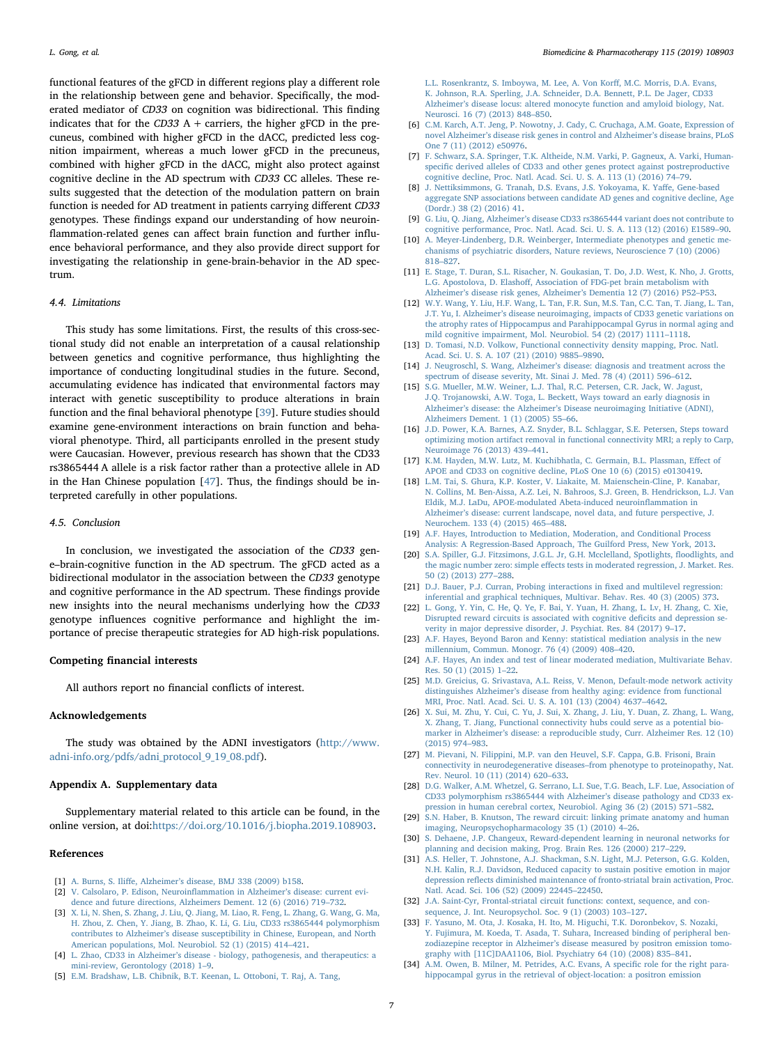functional features of the gFCD in different regions play a different role in the relationship between gene and behavior. Specifically, the moderated mediator of CD33 on cognition was bidirectional. This finding indicates that for the  $CD33$  A + carriers, the higher gFCD in the precuneus, combined with higher gFCD in the dACC, predicted less cognition impairment, whereas a much lower gFCD in the precuneus, combined with higher gFCD in the dACC, might also protect against cognitive decline in the AD spectrum with CD33 CC alleles. These results suggested that the detection of the modulation pattern on brain function is needed for AD treatment in patients carrying different CD33 genotypes. These findings expand our understanding of how neuroinflammation-related genes can affect brain function and further influence behavioral performance, and they also provide direct support for investigating the relationship in gene-brain-behavior in the AD spectrum.

## 4.4. Limitations

This study has some limitations. First, the results of this cross-sectional study did not enable an interpretation of a causal relationship between genetics and cognitive performance, thus highlighting the importance of conducting longitudinal studies in the future. Second, accumulating evidence has indicated that environmental factors may interact with genetic susceptibility to produce alterations in brain function and the final behavioral phenotype [\[39](#page-7-4)]. Future studies should examine gene-environment interactions on brain function and behavioral phenotype. Third, all participants enrolled in the present study were Caucasian. However, previous research has shown that the CD33 rs3865444 A allele is a risk factor rather than a protective allele in AD in the Han Chinese population [\[47](#page-7-12)]. Thus, the findings should be interpreted carefully in other populations.

## 4.5. Conclusion

In conclusion, we investigated the association of the CD33 gene–brain-cognitive function in the AD spectrum. The gFCD acted as a bidirectional modulator in the association between the CD33 genotype and cognitive performance in the AD spectrum. These findings provide new insights into the neural mechanisms underlying how the CD33 genotype influences cognitive performance and highlight the importance of precise therapeutic strategies for AD high-risk populations.

#### Competing financial interests

All authors report no financial conflicts of interest.

#### Acknowledgements

The study was obtained by the ADNI investigators [\(http://www.](http://www.adni-info.org/pdfs/adni_protocol_9_19_08.pdf) [adni-info.org/pdfs/adni\\_protocol\\_9\\_19\\_08.pdf\)](http://www.adni-info.org/pdfs/adni_protocol_9_19_08.pdf).

#### Appendix A. Supplementary data

Supplementary material related to this article can be found, in the online version, at doi:[https://doi.org/10.1016/j.biopha.2019.108903.](https://doi.org/10.1016/j.biopha.2019.108903)

#### References

- <span id="page-6-0"></span>[1] A. Burns, S. Iliffe, Alzheimer'[s disease, BMJ 338 \(2009\) b158.](http://refhub.elsevier.com/S0753-3322(19)30804-2/sbref0005)
- <span id="page-6-1"></span>[2] [V. Calsolaro, P. Edison, Neuroin](http://refhub.elsevier.com/S0753-3322(19)30804-2/sbref0010)flammation in Alzheimer's disease: current evi[dence and future directions, Alzheimers Dement. 12 \(6\) \(2016\) 719](http://refhub.elsevier.com/S0753-3322(19)30804-2/sbref0010)–732.
- <span id="page-6-2"></span>[3] [X. Li, N. Shen, S. Zhang, J. Liu, Q. Jiang, M. Liao, R. Feng, L. Zhang, G. Wang, G. Ma,](http://refhub.elsevier.com/S0753-3322(19)30804-2/sbref0015) [H. Zhou, Z. Chen, Y. Jiang, B. Zhao, K. Li, G. Liu, CD33 rs3865444 polymorphism](http://refhub.elsevier.com/S0753-3322(19)30804-2/sbref0015) contributes to Alzheimer'[s disease susceptibility in Chinese, European, and North](http://refhub.elsevier.com/S0753-3322(19)30804-2/sbref0015) [American populations, Mol. Neurobiol. 52 \(1\) \(2015\) 414](http://refhub.elsevier.com/S0753-3322(19)30804-2/sbref0015)–421.
- <span id="page-6-3"></span>[4] L. Zhao, CD33 in Alzheimer'[s disease - biology, pathogenesis, and therapeutics: a](http://refhub.elsevier.com/S0753-3322(19)30804-2/sbref0020) [mini-review, Gerontology \(2018\) 1](http://refhub.elsevier.com/S0753-3322(19)30804-2/sbref0020)–9.
- <span id="page-6-4"></span>[5] [E.M. Bradshaw, L.B. Chibnik, B.T. Keenan, L. Ottoboni, T. Raj, A. Tang,](http://refhub.elsevier.com/S0753-3322(19)30804-2/sbref0025)

[L.L. Rosenkrantz, S. Imboywa, M. Lee, A. Von Kor](http://refhub.elsevier.com/S0753-3322(19)30804-2/sbref0025)ff, M.C. Morris, D.A. Evans, [K. Johnson, R.A. Sperling, J.A. Schneider, D.A. Bennett, P.L. De Jager, CD33](http://refhub.elsevier.com/S0753-3322(19)30804-2/sbref0025) Alzheimer'[s disease locus: altered monocyte function and amyloid biology, Nat.](http://refhub.elsevier.com/S0753-3322(19)30804-2/sbref0025) [Neurosci. 16 \(7\) \(2013\) 848](http://refhub.elsevier.com/S0753-3322(19)30804-2/sbref0025)–850.

- <span id="page-6-5"></span>[6] [C.M. Karch, A.T. Jeng, P. Nowotny, J. Cady, C. Cruchaga, A.M. Goate, Expression of](http://refhub.elsevier.com/S0753-3322(19)30804-2/sbref0030) novel Alzheimer'[s disease risk genes in control and Alzheimer](http://refhub.elsevier.com/S0753-3322(19)30804-2/sbref0030)'s disease brains, PLoS [One 7 \(11\) \(2012\) e50976.](http://refhub.elsevier.com/S0753-3322(19)30804-2/sbref0030)
- <span id="page-6-6"></span>[7] [F. Schwarz, S.A. Springer, T.K. Altheide, N.M. Varki, P. Gagneux, A. Varki, Human](http://refhub.elsevier.com/S0753-3322(19)30804-2/sbref0035)specifi[c derived alleles of CD33 and other genes protect against postreproductive](http://refhub.elsevier.com/S0753-3322(19)30804-2/sbref0035) [cognitive decline, Proc. Natl. Acad. Sci. U. S. A. 113 \(1\) \(2016\) 74](http://refhub.elsevier.com/S0753-3322(19)30804-2/sbref0035)–79.
- <span id="page-6-7"></span>[8] [J. Nettiksimmons, G. Tranah, D.S. Evans, J.S. Yokoyama, K. Ya](http://refhub.elsevier.com/S0753-3322(19)30804-2/sbref0040)ffe, Gene-based [aggregate SNP associations between candidate AD genes and cognitive decline, Age](http://refhub.elsevier.com/S0753-3322(19)30804-2/sbref0040) [\(Dordr.\) 38 \(2\) \(2016\) 41.](http://refhub.elsevier.com/S0753-3322(19)30804-2/sbref0040)
- <span id="page-6-8"></span>[9] G. Liu, Q. Jiang, Alzheimer'[s disease CD33 rs3865444 variant does not contribute to](http://refhub.elsevier.com/S0753-3322(19)30804-2/sbref0045) [cognitive performance, Proc. Natl. Acad. Sci. U. S. A. 113 \(12\) \(2016\) E1589](http://refhub.elsevier.com/S0753-3322(19)30804-2/sbref0045)–90.
- <span id="page-6-9"></span>[10] [A. Meyer-Lindenberg, D.R. Weinberger, Intermediate phenotypes and genetic me](http://refhub.elsevier.com/S0753-3322(19)30804-2/sbref0050)[chanisms of psychiatric disorders, Nature reviews, Neuroscience 7 \(10\) \(2006\)](http://refhub.elsevier.com/S0753-3322(19)30804-2/sbref0050) 818–[827.](http://refhub.elsevier.com/S0753-3322(19)30804-2/sbref0050)
- <span id="page-6-10"></span>[11] [E. Stage, T. Duran, S.L. Risacher, N. Goukasian, T. Do, J.D. West, K. Nho, J. Grotts,](http://refhub.elsevier.com/S0753-3322(19)30804-2/sbref0055) L.G. Apostolova, D. Elashoff[, Association of FDG-pet brain metabolism with](http://refhub.elsevier.com/S0753-3322(19)30804-2/sbref0055) Alzheimer'[s disease risk genes, Alzheimer](http://refhub.elsevier.com/S0753-3322(19)30804-2/sbref0055)'s Dementia 12 (7) (2016) P52–P53.
- <span id="page-6-11"></span>[12] [W.Y. Wang, Y. Liu, H.F. Wang, L. Tan, F.R. Sun, M.S. Tan, C.C. Tan, T. Jiang, L. Tan,](http://refhub.elsevier.com/S0753-3322(19)30804-2/sbref0060) J.T. Yu, I. Alzheimer'[s disease neuroimaging, impacts of CD33 genetic variations on](http://refhub.elsevier.com/S0753-3322(19)30804-2/sbref0060) [the atrophy rates of Hippocampus and Parahippocampal Gyrus in normal aging and](http://refhub.elsevier.com/S0753-3322(19)30804-2/sbref0060) [mild cognitive impairment, Mol. Neurobiol. 54 \(2\) \(2017\) 1111](http://refhub.elsevier.com/S0753-3322(19)30804-2/sbref0060)–1118.
- <span id="page-6-12"></span>[13] [D. Tomasi, N.D. Volkow, Functional connectivity density mapping, Proc. Natl.](http://refhub.elsevier.com/S0753-3322(19)30804-2/sbref0065) [Acad. Sci. U. S. A. 107 \(21\) \(2010\) 9885](http://refhub.elsevier.com/S0753-3322(19)30804-2/sbref0065)–9890.
- <span id="page-6-13"></span>[14] J. Neugroschl, S. Wang, Alzheimer'[s disease: diagnosis and treatment across the](http://refhub.elsevier.com/S0753-3322(19)30804-2/sbref0070) [spectrum of disease severity, Mt. Sinai J. Med. 78 \(4\) \(2011\) 596](http://refhub.elsevier.com/S0753-3322(19)30804-2/sbref0070)–612.
- <span id="page-6-14"></span>[15] [S.G. Mueller, M.W. Weiner, L.J. Thal, R.C. Petersen, C.R. Jack, W. Jagust,](http://refhub.elsevier.com/S0753-3322(19)30804-2/sbref0075) [J.Q. Trojanowski, A.W. Toga, L. Beckett, Ways toward an early diagnosis in](http://refhub.elsevier.com/S0753-3322(19)30804-2/sbref0075) Alzheimer's disease: the Alzheimer'[s Disease neuroimaging Initiative \(ADNI\),](http://refhub.elsevier.com/S0753-3322(19)30804-2/sbref0075) [Alzheimers Dement. 1 \(1\) \(2005\) 55](http://refhub.elsevier.com/S0753-3322(19)30804-2/sbref0075)–66.
- <span id="page-6-15"></span>[16] [J.D. Power, K.A. Barnes, A.Z. Snyder, B.L. Schlaggar, S.E. Petersen, Steps toward](http://refhub.elsevier.com/S0753-3322(19)30804-2/sbref0080) [optimizing motion artifact removal in functional connectivity MRI; a reply to Carp,](http://refhub.elsevier.com/S0753-3322(19)30804-2/sbref0080) [Neuroimage 76 \(2013\) 439](http://refhub.elsevier.com/S0753-3322(19)30804-2/sbref0080)–441.
- <span id="page-6-16"></span>[17] [K.M. Hayden, M.W. Lutz, M. Kuchibhatla, C. Germain, B.L. Plassman, E](http://refhub.elsevier.com/S0753-3322(19)30804-2/sbref0085)ffect of [APOE and CD33 on cognitive decline, PLoS One 10 \(6\) \(2015\) e0130419.](http://refhub.elsevier.com/S0753-3322(19)30804-2/sbref0085)
- <span id="page-6-17"></span>[18] [L.M. Tai, S. Ghura, K.P. Koster, V. Liakaite, M. Maienschein-Cline, P. Kanabar,](http://refhub.elsevier.com/S0753-3322(19)30804-2/sbref0090) [N. Collins, M. Ben-Aissa, A.Z. Lei, N. Bahroos, S.J. Green, B. Hendrickson, L.J. Van](http://refhub.elsevier.com/S0753-3322(19)30804-2/sbref0090) [Eldik, M.J. LaDu, APOE-modulated Abeta-induced neuroin](http://refhub.elsevier.com/S0753-3322(19)30804-2/sbref0090)flammation in Alzheimer'[s disease: current landscape, novel data, and future perspective, J.](http://refhub.elsevier.com/S0753-3322(19)30804-2/sbref0090) [Neurochem. 133 \(4\) \(2015\) 465](http://refhub.elsevier.com/S0753-3322(19)30804-2/sbref0090)–488.
- <span id="page-6-18"></span>[19] [A.F. Hayes, Introduction to Mediation, Moderation, and Conditional Process](http://refhub.elsevier.com/S0753-3322(19)30804-2/sbref0095) [Analysis: A Regression-Based Approach, The Guilford Press, New York, 2013.](http://refhub.elsevier.com/S0753-3322(19)30804-2/sbref0095)
- <span id="page-6-19"></span>[20] [S.A. Spiller, G.J. Fitzsimons, J.G.L. Jr, G.H. Mcclelland, Spotlights,](http://refhub.elsevier.com/S0753-3322(19)30804-2/sbref0100) floodlights, and the magic number zero: simple eff[ects tests in moderated regression, J. Market. Res.](http://refhub.elsevier.com/S0753-3322(19)30804-2/sbref0100) [50 \(2\) \(2013\) 277](http://refhub.elsevier.com/S0753-3322(19)30804-2/sbref0100)–288.
- <span id="page-6-20"></span>[21] [D.J. Bauer, P.J. Curran, Probing interactions in](http://refhub.elsevier.com/S0753-3322(19)30804-2/sbref0105) fixed and multilevel regression: [inferential and graphical techniques, Multivar. Behav. Res. 40 \(3\) \(2005\) 373.](http://refhub.elsevier.com/S0753-3322(19)30804-2/sbref0105)
- <span id="page-6-21"></span>[22] [L. Gong, Y. Yin, C. He, Q. Ye, F. Bai, Y. Yuan, H. Zhang, L. Lv, H. Zhang, C. Xie,](http://refhub.elsevier.com/S0753-3322(19)30804-2/sbref0110) [Disrupted reward circuits is associated with cognitive de](http://refhub.elsevier.com/S0753-3322(19)30804-2/sbref0110)ficits and depression se[verity in major depressive disorder, J. Psychiat. Res. 84 \(2017\) 9](http://refhub.elsevier.com/S0753-3322(19)30804-2/sbref0110)–17.
- <span id="page-6-22"></span>[23] [A.F. Hayes, Beyond Baron and Kenny: statistical mediation analysis in the new](http://refhub.elsevier.com/S0753-3322(19)30804-2/sbref0115) [millennium, Commun. Monogr. 76 \(4\) \(2009\) 408](http://refhub.elsevier.com/S0753-3322(19)30804-2/sbref0115)–420.
- <span id="page-6-23"></span>[24] [A.F. Hayes, An index and test of linear moderated mediation, Multivariate Behav.](http://refhub.elsevier.com/S0753-3322(19)30804-2/sbref0120) [Res. 50 \(1\) \(2015\) 1](http://refhub.elsevier.com/S0753-3322(19)30804-2/sbref0120)–22.
- <span id="page-6-24"></span>[25] M.D. [Greicius, G. Srivastava, A.L. Reiss, V. Menon, Default-mode network activity](http://refhub.elsevier.com/S0753-3322(19)30804-2/sbref0125) distinguishes Alzheimer'[s disease from healthy aging: evidence from functional](http://refhub.elsevier.com/S0753-3322(19)30804-2/sbref0125) [MRI, Proc. Natl. Acad. Sci. U. S. A. 101 \(13\) \(2004\) 4637](http://refhub.elsevier.com/S0753-3322(19)30804-2/sbref0125)–4642.
- <span id="page-6-25"></span>[26] [X. Sui, M. Zhu, Y. Cui, C. Yu, J. Sui, X. Zhang, J. Liu, Y. Duan, Z. Zhang, L. Wang,](http://refhub.elsevier.com/S0753-3322(19)30804-2/sbref0130) [X. Zhang, T. Jiang, Functional connectivity hubs could serve as a potential bio](http://refhub.elsevier.com/S0753-3322(19)30804-2/sbref0130)marker in Alzheimer'[s disease: a reproducible study, Curr. Alzheimer Res. 12 \(10\)](http://refhub.elsevier.com/S0753-3322(19)30804-2/sbref0130) [\(2015\) 974](http://refhub.elsevier.com/S0753-3322(19)30804-2/sbref0130)–983.
- <span id="page-6-26"></span>[27] [M. Pievani, N. Filippini, M.P. van den Heuvel, S.F. Cappa, G.B. Frisoni, Brain](http://refhub.elsevier.com/S0753-3322(19)30804-2/sbref0135) [connectivity in neurodegenerative diseases](http://refhub.elsevier.com/S0753-3322(19)30804-2/sbref0135)–from phenotype to proteinopathy, Nat. [Rev. Neurol. 10 \(11\) \(2014\) 620](http://refhub.elsevier.com/S0753-3322(19)30804-2/sbref0135)–633.
- <span id="page-6-27"></span>[28] [D.G. Walker, A.M. Whetzel, G. Serrano, L.I. Sue, T.G. Beach, L.F. Lue, Association of](http://refhub.elsevier.com/S0753-3322(19)30804-2/sbref0140) [CD33 polymorphism rs3865444 with Alzheimer](http://refhub.elsevier.com/S0753-3322(19)30804-2/sbref0140)'s disease pathology and CD33 ex[pression in human cerebral cortex, Neurobiol. Aging 36 \(2\) \(2015\) 571](http://refhub.elsevier.com/S0753-3322(19)30804-2/sbref0140)–582.
- <span id="page-6-28"></span>[29] [S.N. Haber, B. Knutson, The reward circuit: linking primate anatomy and human](http://refhub.elsevier.com/S0753-3322(19)30804-2/sbref0145) [imaging, Neuropsychopharmacology 35 \(1\) \(2010\) 4](http://refhub.elsevier.com/S0753-3322(19)30804-2/sbref0145)–26.
- <span id="page-6-29"></span>[30] [S. Dehaene, J.P. Changeux, Reward-dependent learning in neuronal networks for](http://refhub.elsevier.com/S0753-3322(19)30804-2/sbref0150) [planning and decision making, Prog. Brain Res. 126 \(2000\) 217](http://refhub.elsevier.com/S0753-3322(19)30804-2/sbref0150)–229.
- <span id="page-6-30"></span>[31] [A.S. Heller, T. Johnstone, A.J. Shackman, S.N. Light, M.J. Peterson, G.G. Kolden,](http://refhub.elsevier.com/S0753-3322(19)30804-2/sbref0155) [N.H. Kalin, R.J. Davidson, Reduced capacity to sustain positive emotion in major](http://refhub.elsevier.com/S0753-3322(19)30804-2/sbref0155) depression refl[ects diminished maintenance of fronto-striatal brain activation, Proc.](http://refhub.elsevier.com/S0753-3322(19)30804-2/sbref0155) [Natl. Acad. Sci. 106 \(52\) \(2009\) 22445](http://refhub.elsevier.com/S0753-3322(19)30804-2/sbref0155)–22450.
- <span id="page-6-31"></span>[32] [J.A. Saint-Cyr, Frontal-striatal circuit functions: context, sequence, and con](http://refhub.elsevier.com/S0753-3322(19)30804-2/sbref0160)[sequence, J. Int. Neuropsychol. Soc. 9 \(1\) \(2003\) 103](http://refhub.elsevier.com/S0753-3322(19)30804-2/sbref0160)–127.
- <span id="page-6-32"></span>[33] [F. Yasuno, M. Ota, J. Kosaka, H. Ito, M. Higuchi, T.K. Doronbekov, S. Nozaki,](http://refhub.elsevier.com/S0753-3322(19)30804-2/sbref0165) [Y. Fujimura, M. Koeda, T. Asada, T. Suhara, Increased binding of peripheral ben](http://refhub.elsevier.com/S0753-3322(19)30804-2/sbref0165)zodiazepine receptor in Alzheimer'[s disease measured by positron emission tomo](http://refhub.elsevier.com/S0753-3322(19)30804-2/sbref0165)[graphy with \[11C\]DAA1106, Biol. Psychiatry 64 \(10\) \(2008\) 835](http://refhub.elsevier.com/S0753-3322(19)30804-2/sbref0165)–841.
- <span id="page-6-33"></span>[34] [A.M. Owen, B. Milner, M. Petrides, A.C. Evans, A speci](http://refhub.elsevier.com/S0753-3322(19)30804-2/sbref0170)fic role for the right para[hippocampal gyrus in the retrieval of object-location: a positron emission](http://refhub.elsevier.com/S0753-3322(19)30804-2/sbref0170)